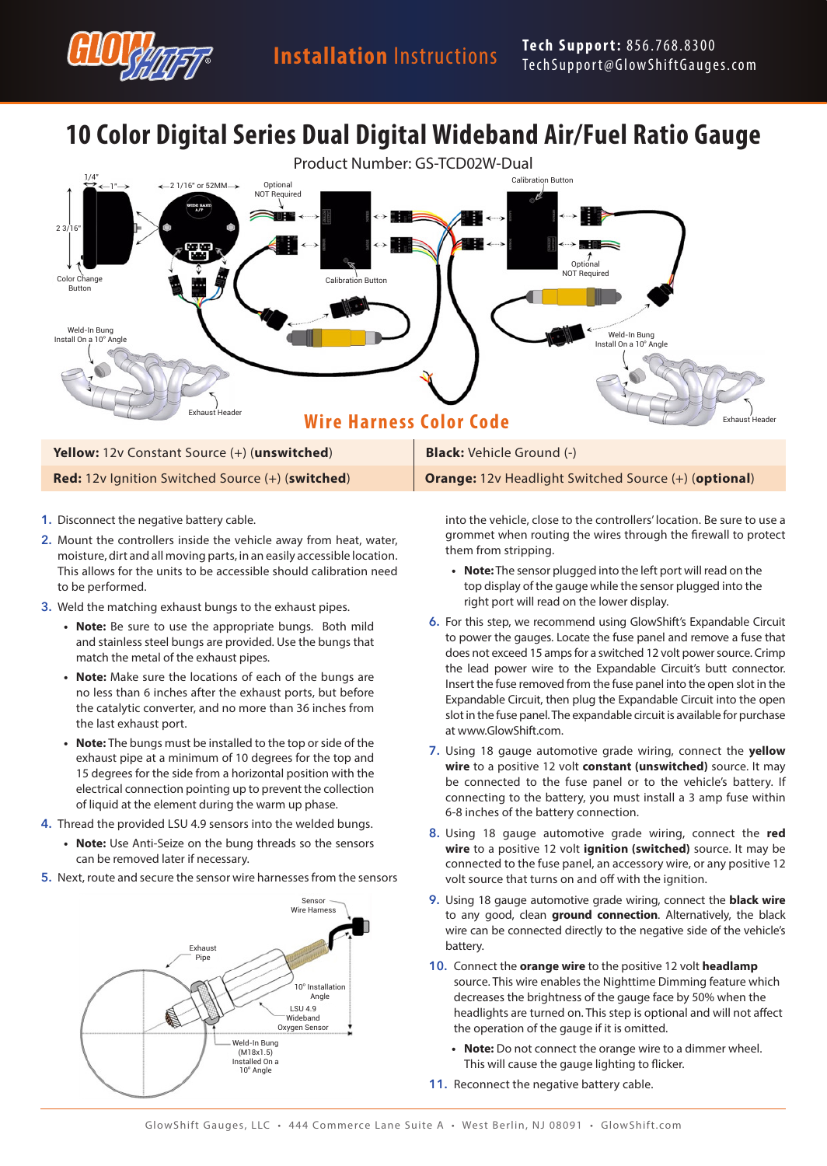

# **10 Color Digital Series Dual Digital Wideband Air/Fuel Ratio Gauge**



- **1.** Disconnect the negative battery cable.
- **2.** Mount the controllers inside the vehicle away from heat, water, moisture, dirt and all moving parts, in an easily accessible location. This allows for the units to be accessible should calibration need to be performed.
- **3.** Weld the matching exhaust bungs to the exhaust pipes.
	- **• Note:** Be sure to use the appropriate bungs. Both mild and stainless steel bungs are provided. Use the bungs that match the metal of the exhaust pipes.
	- **• Note:** Make sure the locations of each of the bungs are no less than 6 inches after the exhaust ports, but before the catalytic converter, and no more than 36 inches from the last exhaust port.
	- **• Note:** The bungs must be installed to the top or side of the exhaust pipe at a minimum of 10 degrees for the top and 15 degrees for the side from a horizontal position with the electrical connection pointing up to prevent the collection of liquid at the element during the warm up phase.
- **4.** Thread the provided LSU 4.9 sensors into the welded bungs.
	- **• Note:** Use Anti-Seize on the bung threads so the sensors can be removed later if necessary.
- **5.** Next, route and secure the sensor wire harnesses from the sensors



into the vehicle, close to the controllers' location. Be sure to use a grommet when routing the wires through the firewall to protect them from stripping.

- **• Note:** The sensor plugged into the left port will read on the top display of the gauge while the sensor plugged into the right port will read on the lower display.
- **6.** For this step, we recommend using GlowShift's Expandable Circuit to power the gauges. Locate the fuse panel and remove a fuse that does not exceed 15 amps for a switched 12 volt power source. Crimp the lead power wire to the Expandable Circuit's butt connector. Insert the fuse removed from the fuse panel into the open slot in the Expandable Circuit, then plug the Expandable Circuit into the open slot in the fuse panel. The expandable circuit is available for purchase at www.GlowShift.com.
- **7.** Using 18 gauge automotive grade wiring, connect the **yellow wire** to a positive 12 volt **constant (unswitched)** source. It may be connected to the fuse panel or to the vehicle's battery. If connecting to the battery, you must install a 3 amp fuse within 6-8 inches of the battery connection.
- **8.** Using 18 gauge automotive grade wiring, connect the **red wire** to a positive 12 volt **ignition (switched)** source. It may be connected to the fuse panel, an accessory wire, or any positive 12 volt source that turns on and off with the ignition.
- **9.** Using 18 gauge automotive grade wiring, connect the **black wire** to any good, clean **ground connection**. Alternatively, the black wire can be connected directly to the negative side of the vehicle's battery.
- **10.** Connect the **orange wire** to the positive 12 volt **headlamp** source. This wire enables the Nighttime Dimming feature which decreases the brightness of the gauge face by 50% when the headlights are turned on. This step is optional and will not affect the operation of the gauge if it is omitted.
	- **• Note:** Do not connect the orange wire to a dimmer wheel. This will cause the gauge lighting to flicker.
- **11.** Reconnect the negative battery cable.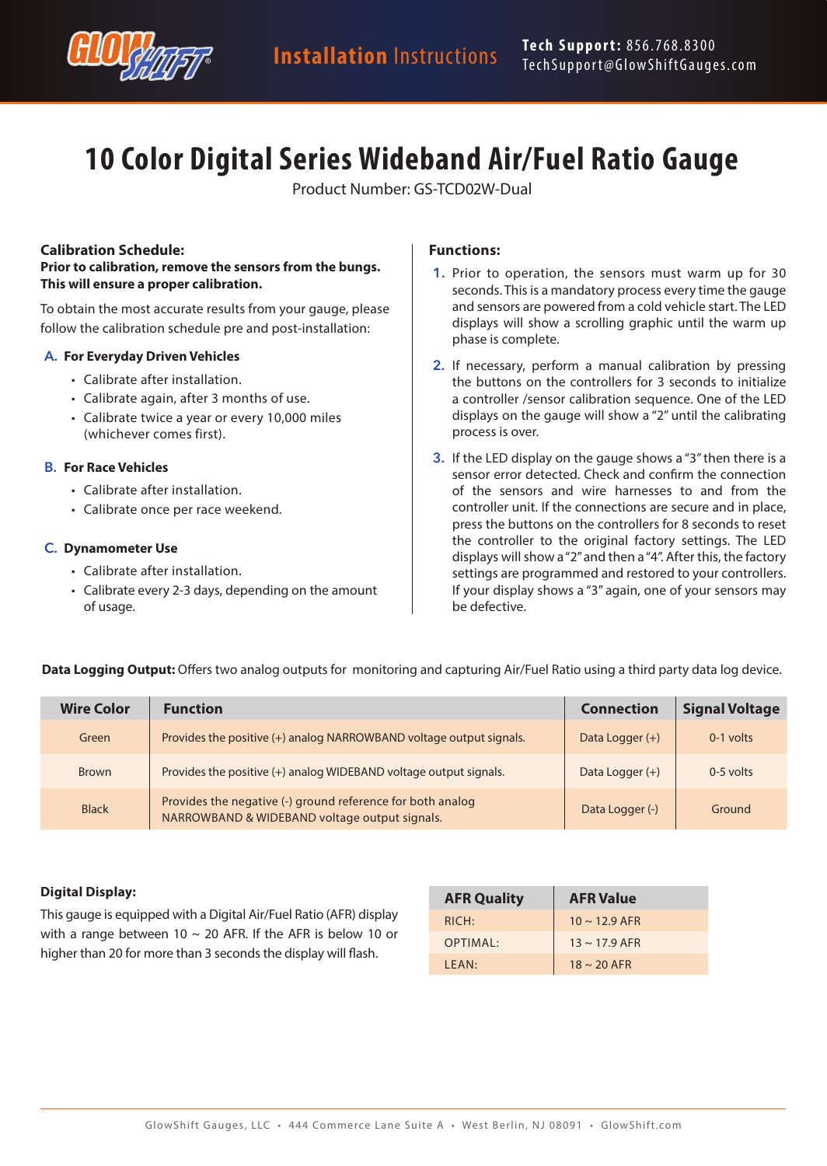

# **10 Color Digital Series Wideband Air/Fuel Ratio Gauge**

Product Number: GS-TCD02W-Dual

## **Calibration Schedule:**

#### **Prior to calibration, remove the sensors from the bungs. This will ensure a proper calibration.**

To obtain the most accurate results from your gauge, please follow the calibration schedule pre and post-installation:

#### **A. For Everyday Driven Vehicles**

- Calibrate after installation.
- Calibrate again, after 3 months of use.
- Calibrate twice a year or every 10,000 miles (whichever comes first).

### **B. For Race Vehicles**

- Calibrate after installation.
- Calibrate once per race weekend.

### **C. Dynamometer Use**

- Calibrate after installation.
- Calibrate every 2-3 days, depending on the amount of usage.

## **Functions:**

- **1.** Prior to operation, the sensors must warm up for 30 seconds. This is a mandatory process every time the gauge and sensors are powered from a cold vehicle start. The LED displays will show a scrolling graphic until the warm up phase is complete.
- **2.** If necessary, perform a manual calibration by pressing the buttons on the controllers for 3 seconds to initialize a controller /sensor calibration sequence. One of the LED displays on the gauge will show a "2" until the calibrating process is over.
- **3.** If the LED display on the gauge shows a "3" then there is a sensor error detected. Check and confirm the connection of the sensors and wire harnesses to and from the controller unit. If the connections are secure and in place, press the buttons on the controllers for 8 seconds to reset the controller to the original factory settings. The LED displays will show a "2" and then a "4". After this, the factory settings are programmed and restored to your controllers. If your display shows a "3" again, one of your sensors may be defective.

| <b>Wire Color</b> | <b>Function</b>                                                                                             | <b>Connection</b> | <b>Signal Voltage</b> |
|-------------------|-------------------------------------------------------------------------------------------------------------|-------------------|-----------------------|
| Green             | Provides the positive (+) analog NARROWBAND voltage output signals.                                         | Data Logger $(+)$ | $0-1$ volts           |
| Brown             | Provides the positive (+) analog WIDEBAND voltage output signals.                                           | Data Logger $(+)$ | $0-5$ volts           |
| <b>Black</b>      | Provides the negative (-) ground reference for both analog<br>NARROWBAND & WIDEBAND voltage output signals. | Data Logger (-)   | Ground                |

**Data Logging Output:** Offers two analog outputs for monitoring and capturing Air/Fuel Ratio using a third party data log device.

## **Digital Display:**

This gauge is equipped with a Digital Air/Fuel Ratio (AFR) display with a range between 10  $\sim$  20 AFR. If the AFR is below 10 or higher than 20 for more than 3 seconds the display will flash.

| <b>AFR Quality</b> | <b>AFR Value</b>   |  |
|--------------------|--------------------|--|
| RICH:              | $10 \sim 12.9$ AFR |  |
| OPTIMAL:           | $13 \sim 17.9$ AFR |  |
| IFAN:              | $18 \sim 20$ AFR   |  |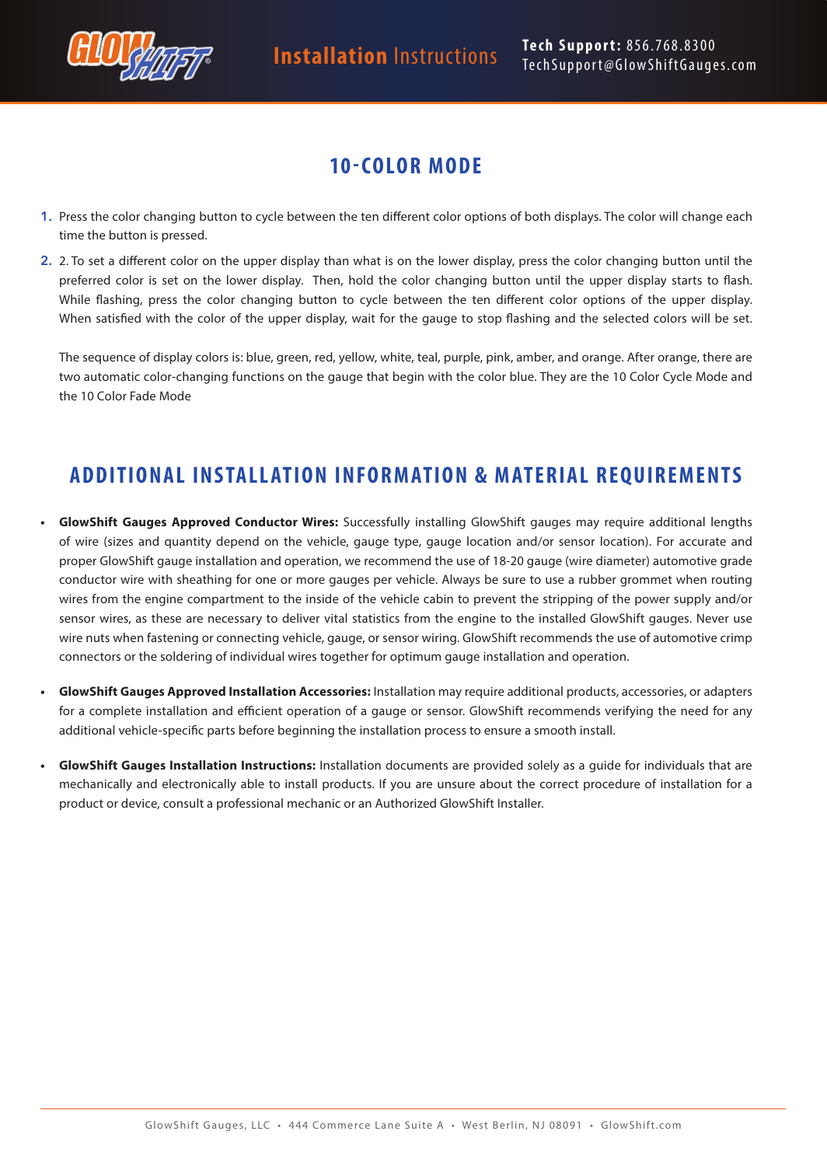

# **10-COLOR MODE**

- **1.** Press the color changing button to cycle between the ten different color options of both displays. The color will change each time the button is pressed.
- **2.** 2. To set a different color on the upper display than what is on the lower display, press the color changing button until the preferred color is set on the lower display. Then, hold the color changing button until the upper display starts to flash. While flashing, press the color changing button to cycle between the ten different color options of the upper display. When satisfied with the color of the upper display, wait for the gauge to stop flashing and the selected colors will be set.

The sequence of display colors is: blue, green, red, yellow, white, teal, purple, pink, amber, and orange. After orange, there are two automatic color-changing functions on the gauge that begin with the color blue. They are the 10 Color Cycle Mode and the 10 Color Fade Mode

# **ADDITIONAL INSTALLATION INFORMATION & MATERIAL REQUIREMENTS**

- **• GlowShift Gauges Approved Conductor Wires:** Successfully installing GlowShift gauges may require additional lengths of wire (sizes and quantity depend on the vehicle, gauge type, gauge location and/or sensor location). For accurate and proper GlowShift gauge installation and operation, we recommend the use of 18-20 gauge (wire diameter) automotive grade conductor wire with sheathing for one or more gauges per vehicle. Always be sure to use a rubber grommet when routing wires from the engine compartment to the inside of the vehicle cabin to prevent the stripping of the power supply and/or sensor wires, as these are necessary to deliver vital statistics from the engine to the installed GlowShift gauges. Never use wire nuts when fastening or connecting vehicle, gauge, or sensor wiring. GlowShift recommends the use of automotive crimp connectors or the soldering of individual wires together for optimum gauge installation and operation.
- **• GlowShift Gauges Approved Installation Accessories:** Installation may require additional products, accessories, or adapters for a complete installation and efficient operation of a gauge or sensor. GlowShift recommends verifying the need for any additional vehicle-specific parts before beginning the installation process to ensure a smooth install.
- **• GlowShift Gauges Installation Instructions:** Installation documents are provided solely as a guide for individuals that are mechanically and electronically able to install products. If you are unsure about the correct procedure of installation for a product or device, consult a professional mechanic or an Authorized GlowShift Installer.